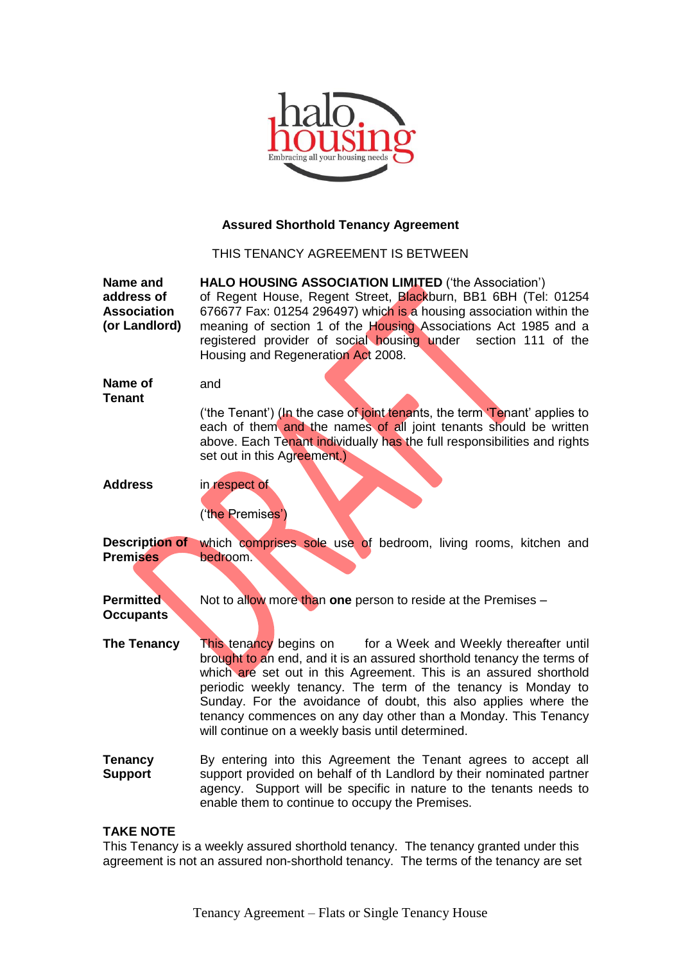

# **Assured Shorthold Tenancy Agreement**

THIS TENANCY AGREEMENT IS BETWEEN

**Name and address of Association (or Landlord) HALO HOUSING ASSOCIATION LIMITED** ('the Association') of Regent House, Regent Street, Blackburn, BB1 6BH (Tel: 01254 676677 Fax: 01254 296497) which is a housing association within the meaning of section 1 of the Housing Associations Act 1985 and a registered provider of social housing under section 111 of the Housing and Regeneration Act 2008. **Name of Tenant** and ('the Tenant') (In the case of joint tenants, the term 'Tenant' applies to each of them and the names of all joint tenants should be written above. Each Tenant individually has the full responsibilities and rights set out in this Agreement.) **Address** in respect of ('the Premises') **Description of Premises** which comprises sole use of bedroom, living rooms, kitchen and bedroom. **Permitted Occupants** Not to allow more than **one** person to reside at the Premises – **The Tenancy** This tenancy begins onfor a Week and Weekly thereafter until brought to an end, and it is an assured shorthold tenancy the terms of which are set out in this Agreement. This is an assured shorthold periodic weekly tenancy. The term of the tenancy is Monday to Sunday. For the avoidance of doubt, this also applies where the tenancy commences on any day other than a Monday. This Tenancy will continue on a weekly basis until determined. **Tenancy Support** By entering into this Agreement the Tenant agrees to accept all support provided on behalf of th Landlord by their nominated partner agency. Support will be specific in nature to the tenants needs to enable them to continue to occupy the Premises.

# **TAKE NOTE**

This Tenancy is a weekly assured shorthold tenancy. The tenancy granted under this agreement is not an assured non-shorthold tenancy. The terms of the tenancy are set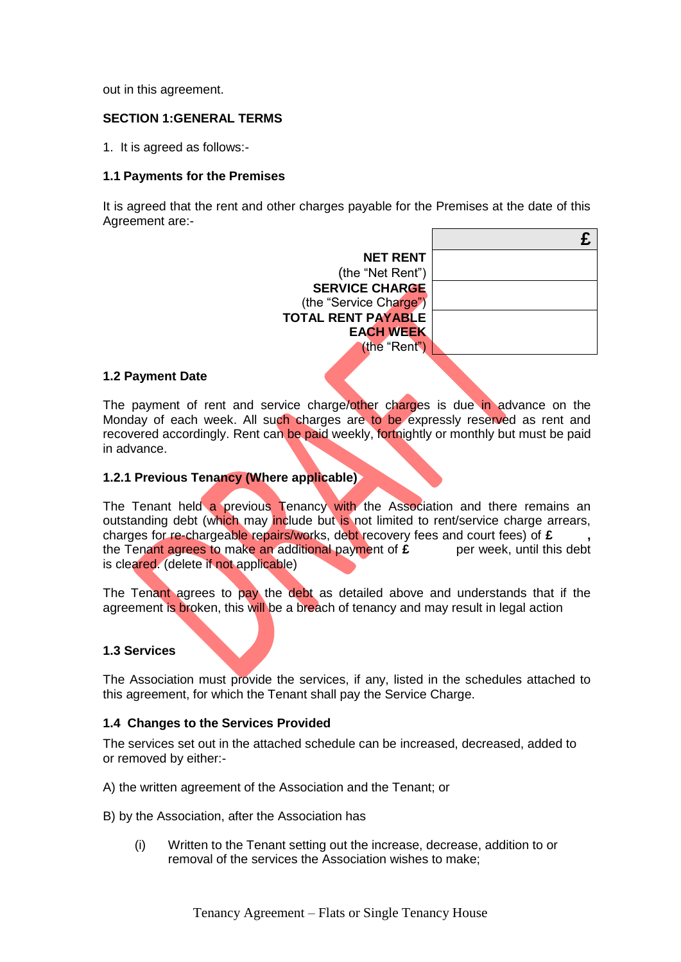out in this agreement.

# **SECTION 1:GENERAL TERMS**

1. It is agreed as follows:-

## **1.1 Payments for the Premises**

It is agreed that the rent and other charges payable for the Premises at the date of this Agreement are:-

| <b>NET RENT</b>           |  |
|---------------------------|--|
| (the "Net Rent")          |  |
| <b>SERVICE CHARGE</b>     |  |
| (the "Service Charge")    |  |
| <b>TOTAL RENT PAYABLE</b> |  |
| <b>EACH WEEK</b>          |  |
| (the "Rent")              |  |
|                           |  |

## **1.2 Payment Date**

The payment of rent and service charge/other charges is due in advance on the Monday of each week. All such charges are to be expressly reserved as rent and recovered accordingly. Rent can be paid weekly, fortnightly or monthly but must be paid in advance.

## **1.2.1 Previous Tenancy (Where applicable)**

The Tenant held a previous Tenancy with the Association and there remains an outstanding debt (which may include but is not limited to rent/service charge arrears, charges for re-chargeable repairs/works, debt recovery fees and court fees) of **£ ,**  the Tenant agrees to make an additional payment of  $\hat{\mathbf{r}}$  per week, until this debt is cleared. (delete if not applicable)

The Tenant agrees to pay the debt as detailed above and understands that if the agreement is broken, this will be a breach of tenancy and may result in legal action

## **1.3 Services**

The Association must provide the services, if any, listed in the schedules attached to this agreement, for which the Tenant shall pay the Service Charge.

## **1.4 Changes to the Services Provided**

The services set out in the attached schedule can be increased, decreased, added to or removed by either:-

A) the written agreement of the Association and the Tenant; or

B) by the Association, after the Association has

(i) Written to the Tenant setting out the increase, decrease, addition to or removal of the services the Association wishes to make;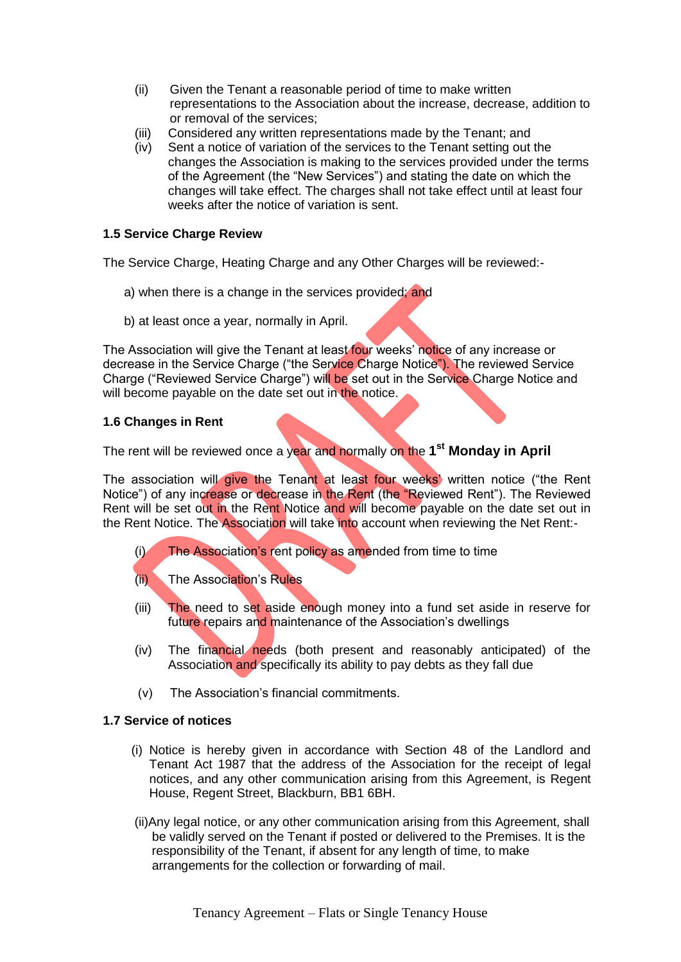- (ii) Given the Tenant a reasonable period of time to make written representations to the Association about the increase, decrease, addition to or removal of the services;
- (iii) Considered any written representations made by the Tenant; and
- (iv) Sent a notice of variation of the services to the Tenant setting out the changes the Association is making to the services provided under the terms of the Agreement (the "New Services") and stating the date on which the changes will take effect. The charges shall not take effect until at least four weeks after the notice of variation is sent.

# **1.5 Service Charge Review**

The Service Charge, Heating Charge and any Other Charges will be reviewed:-

- a) when there is a change in the services provided; and
- b) at least once a year, normally in April.

The Association will give the Tenant at least four weeks' notice of any increase or decrease in the Service Charge ("the Service Charge Notice"). The reviewed Service Charge ("Reviewed Service Charge") will be set out in the Service Charge Notice and will become payable on the date set out in the notice.

# **1.6 Changes in Rent**

The rent will be reviewed once a year and normally on the **1 st Monday in April**

The association will give the Tenant at least four weeks' written notice ("the Rent Notice") of any increase or decrease in the Rent (the "Reviewed Rent"). The Reviewed Rent will be set out in the Rent Notice and will become payable on the date set out in the Rent Notice. The Association will take into account when reviewing the Net Rent:-

- (i) The Association's rent policy as amended from time to time
- (ii) The Association's Rules
- (iii) The need to set aside enough money into a fund set aside in reserve for future repairs and maintenance of the Association's dwellings
- (iv) The financial needs (both present and reasonably anticipated) of the Association and specifically its ability to pay debts as they fall due
- (v) The Association's financial commitments.

# **1.7 Service of notices**

- (i) Notice is hereby given in accordance with Section 48 of the Landlord and Tenant Act 1987 that the address of the Association for the receipt of legal notices, and any other communication arising from this Agreement, is Regent House, Regent Street, Blackburn, BB1 6BH.
- (ii)Any legal notice, or any other communication arising from this Agreement, shall be validly served on the Tenant if posted or delivered to the Premises. It is the responsibility of the Tenant, if absent for any length of time, to make arrangements for the collection or forwarding of mail.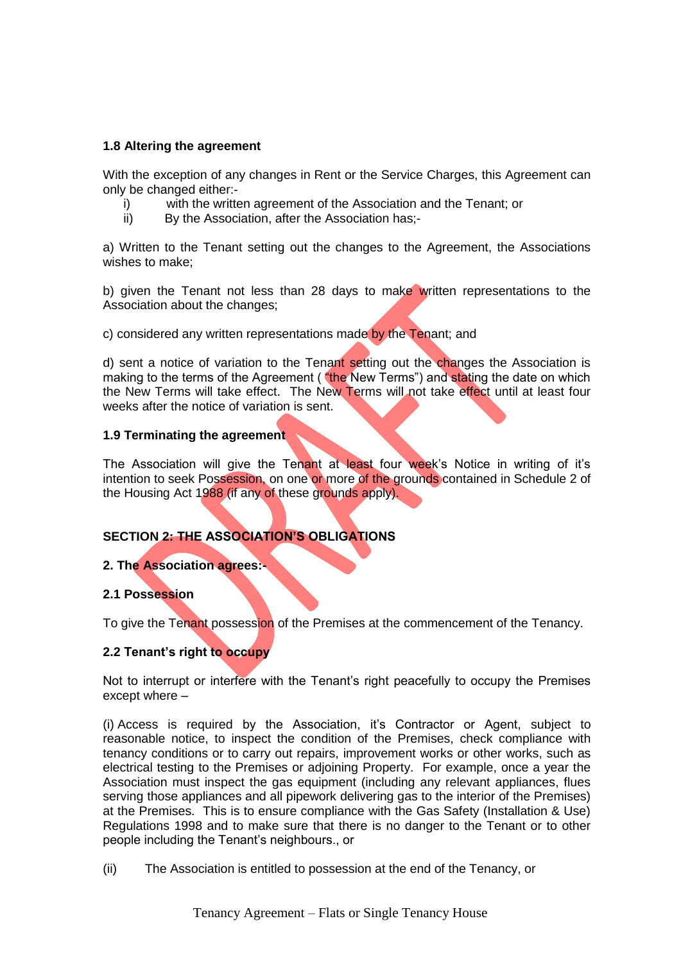# **1.8 Altering the agreement**

With the exception of any changes in Rent or the Service Charges, this Agreement can only be changed either:-

- i) with the written agreement of the Association and the Tenant; or
- ii) By the Association, after the Association has;-

a) Written to the Tenant setting out the changes to the Agreement, the Associations wishes to make;

b) given the Tenant not less than 28 days to make written representations to the Association about the changes;

c) considered any written representations made by the Tenant; and

d) sent a notice of variation to the Tenant setting out the changes the Association is making to the terms of the Agreement ("the New Terms") and stating the date on which the New Terms will take effect. The New Terms will not take effect until at least four weeks after the notice of variation is sent.

# **1.9 Terminating the agreement**

The Association will give the Tenant at least four week's Notice in writing of it's intention to seek Possession, on one or more of the grounds contained in Schedule 2 of the Housing Act 1988 (if any of these grounds apply).

# **SECTION 2: THE ASSOCIATION'S OBLIGATIONS**

# **2. The Association agrees:-**

# **2.1 Possession**

To give the Tenant possession of the Premises at the commencement of the Tenancy.

# **2.2 Tenant's right to occupy**

Not to interrupt or interfere with the Tenant's right peacefully to occupy the Premises except where –

(i) Access is required by the Association, it's Contractor or Agent, subject to reasonable notice, to inspect the condition of the Premises, check compliance with tenancy conditions or to carry out repairs, improvement works or other works, such as electrical testing to the Premises or adjoining Property. For example, once a year the Association must inspect the gas equipment (including any relevant appliances, flues serving those appliances and all pipework delivering gas to the interior of the Premises) at the Premises. This is to ensure compliance with the Gas Safety (Installation & Use) Regulations 1998 and to make sure that there is no danger to the Tenant or to other people including the Tenant's neighbours., or

(ii) The Association is entitled to possession at the end of the Tenancy, or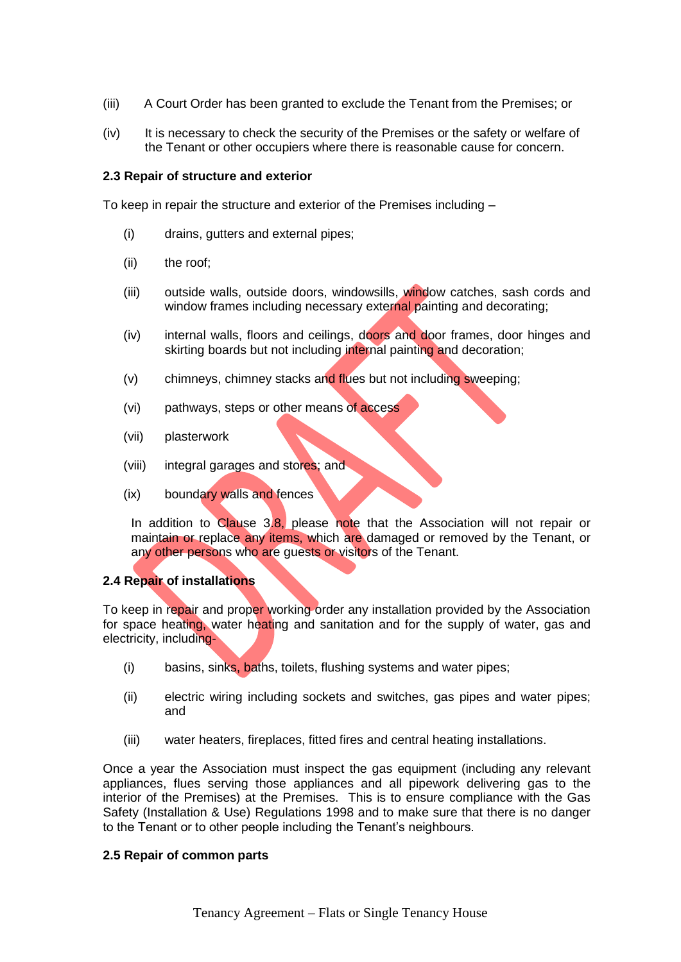- (iii) A Court Order has been granted to exclude the Tenant from the Premises; or
- (iv) It is necessary to check the security of the Premises or the safety or welfare of the Tenant or other occupiers where there is reasonable cause for concern.

## **2.3 Repair of structure and exterior**

To keep in repair the structure and exterior of the Premises including –

- (i) drains, gutters and external pipes;
- (ii) the roof;
- (iii) outside walls, outside doors, windowsills, window catches, sash cords and window frames including necessary external painting and decorating;
- (iv) internal walls, floors and ceilings, doors and door frames, door hinges and skirting boards but not including internal painting and decoration;
- (v) chimneys, chimney stacks and flues but not including sweeping;
- (vi) pathways, steps or other means of access
- (vii) plasterwork
- (viii) integral garages and stores; and
- (ix) boundary walls and fences

In addition to Clause  $3.8$ , please note that the Association will not repair or maintain or replace any items, which are damaged or removed by the Tenant, or any other persons who are guests or visitors of the Tenant.

## **2.4 Repair of installations**

To keep in repair and proper working order any installation provided by the Association for space heating, water heating and sanitation and for the supply of water, gas and electricity, including-

- (i) basins, sinks, baths, toilets, flushing systems and water pipes;
- (ii) electric wiring including sockets and switches, gas pipes and water pipes; and
- (iii) water heaters, fireplaces, fitted fires and central heating installations.

Once a year the Association must inspect the gas equipment (including any relevant appliances, flues serving those appliances and all pipework delivering gas to the interior of the Premises) at the Premises. This is to ensure compliance with the Gas Safety (Installation & Use) Regulations 1998 and to make sure that there is no danger to the Tenant or to other people including the Tenant's neighbours.

## **2.5 Repair of common parts**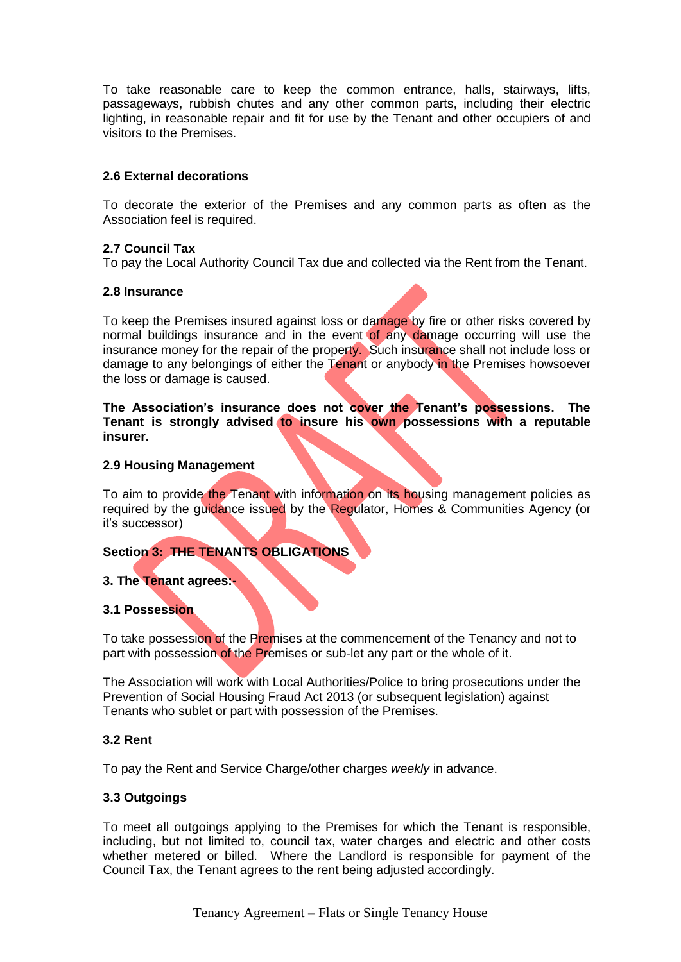To take reasonable care to keep the common entrance, halls, stairways, lifts, passageways, rubbish chutes and any other common parts, including their electric lighting, in reasonable repair and fit for use by the Tenant and other occupiers of and visitors to the Premises.

# **2.6 External decorations**

To decorate the exterior of the Premises and any common parts as often as the Association feel is required.

## **2.7 Council Tax**

To pay the Local Authority Council Tax due and collected via the Rent from the Tenant.

## **2.8 Insurance**

To keep the Premises insured against loss or damage by fire or other risks covered by normal buildings insurance and in the event of any damage occurring will use the insurance money for the repair of the property. Such insurance shall not include loss or damage to any belongings of either the Tenant or anybody in the Premises howsoever the loss or damage is caused.

**The Association's insurance does not cover the Tenant's possessions. The Tenant is strongly advised to insure his own possessions with a reputable insurer.**

## **2.9 Housing Management**

To aim to provide the Tenant with information on its housing management policies as required by the guidance issued by the Regulator, Homes & Communities Agency (or it's successor)

# **Section 3: THE TENANTS OBLIGATIONS**

## **3. The Tenant agrees:-**

## **3.1 Possession**

To take possession of the Premises at the commencement of the Tenancy and not to part with possession of the Premises or sub-let any part or the whole of it.

The Association will work with Local Authorities/Police to bring prosecutions under the Prevention of Social Housing Fraud Act 2013 (or subsequent legislation) against Tenants who sublet or part with possession of the Premises.

## **3.2 Rent**

To pay the Rent and Service Charge/other charges *weekly* in advance.

## **3.3 Outgoings**

To meet all outgoings applying to the Premises for which the Tenant is responsible, including, but not limited to, council tax, water charges and electric and other costs whether metered or billed. Where the Landlord is responsible for payment of the Council Tax, the Tenant agrees to the rent being adjusted accordingly.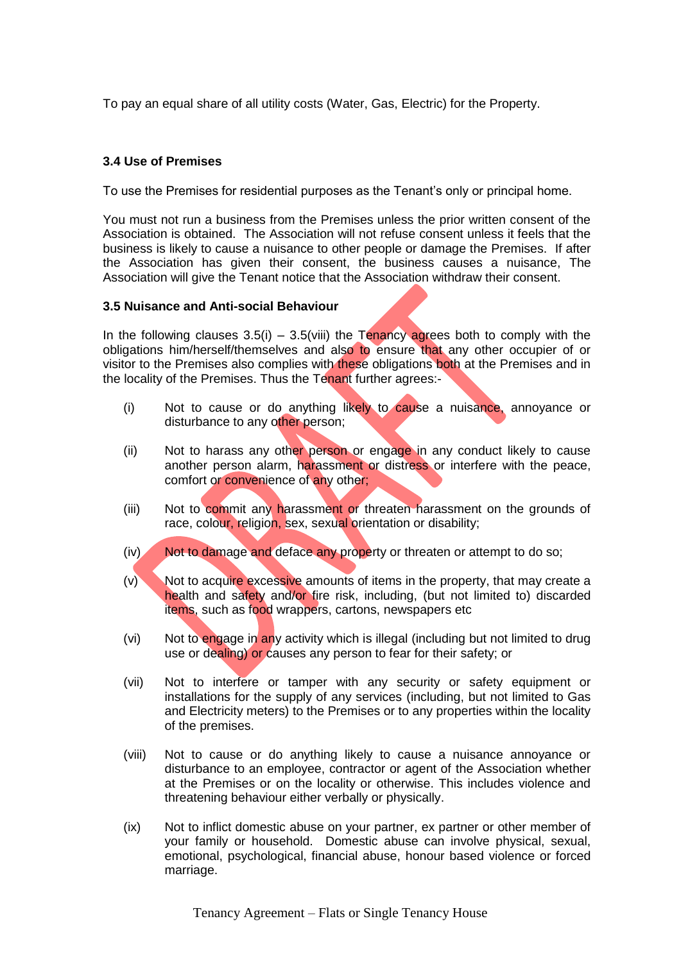To pay an equal share of all utility costs (Water, Gas, Electric) for the Property.

## **3.4 Use of Premises**

To use the Premises for residential purposes as the Tenant's only or principal home.

You must not run a business from the Premises unless the prior written consent of the Association is obtained. The Association will not refuse consent unless it feels that the business is likely to cause a nuisance to other people or damage the Premises. If after the Association has given their consent, the business causes a nuisance, The Association will give the Tenant notice that the Association withdraw their consent.

## **3.5 Nuisance and Anti-social Behaviour**

In the following clauses  $3.5(i) - 3.5(viii)$  the Tenancy agrees both to comply with the obligations him/herself/themselves and also to ensure that any other occupier of or visitor to the Premises also complies with these obligations both at the Premises and in the locality of the Premises. Thus the Tenant further agrees:-

- (i) Not to cause or do anything likely to cause a nuisance, annoyance or disturbance to any other person;
- (ii) Not to harass any other person or engage in any conduct likely to cause another person alarm, harassment or distress or interfere with the peace, comfort or convenience of any other;
- (iii) Not to commit any harassment or threaten harassment on the grounds of race, colour, religion, sex, sexual orientation or disability;
- (iv) Not to damage and deface any property or threaten or attempt to do so;
- (v) Not to acquire excessive amounts of items in the property, that may create a health and safety and/or fire risk, including, (but not limited to) discarded items, such as food wrappers, cartons, newspapers etc
- (vi) Not to engage in any activity which is illegal (including but not limited to drug use or dealing) or causes any person to fear for their safety; or
- (vii) Not to interfere or tamper with any security or safety equipment or installations for the supply of any services (including, but not limited to Gas and Electricity meters) to the Premises or to any properties within the locality of the premises.
- (viii) Not to cause or do anything likely to cause a nuisance annoyance or disturbance to an employee, contractor or agent of the Association whether at the Premises or on the locality or otherwise. This includes violence and threatening behaviour either verbally or physically.
- (ix) Not to inflict domestic abuse on your partner, ex partner or other member of your family or household. Domestic abuse can involve physical, sexual, emotional, psychological, financial abuse, honour based violence or forced marriage.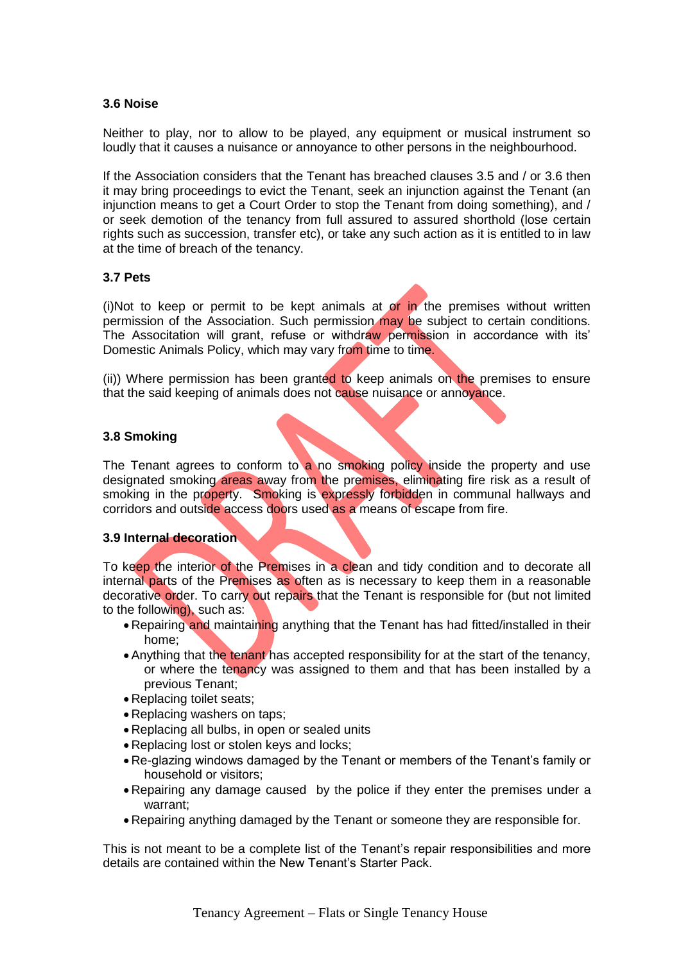## **3.6 Noise**

Neither to play, nor to allow to be played, any equipment or musical instrument so loudly that it causes a nuisance or annoyance to other persons in the neighbourhood.

If the Association considers that the Tenant has breached clauses 3.5 and / or 3.6 then it may bring proceedings to evict the Tenant, seek an injunction against the Tenant (an injunction means to get a Court Order to stop the Tenant from doing something), and / or seek demotion of the tenancy from full assured to assured shorthold (lose certain rights such as succession, transfer etc), or take any such action as it is entitled to in law at the time of breach of the tenancy.

## **3.7 Pets**

(i)Not to keep or permit to be kept animals at or in the premises without written permission of the Association. Such permission may be subject to certain conditions. The Associtation will grant, refuse or withdraw permission in accordance with its' Domestic Animals Policy, which may vary from time to time.

(ii)) Where permission has been granted to keep animals on the premises to ensure that the said keeping of animals does not cause nuisance or annoyance.

## **3.8 Smoking**

The Tenant agrees to conform to a no smoking policy inside the property and use designated smoking areas away from the premises, eliminating fire risk as a result of smoking in the property. Smoking is expressly forbidden in communal hallways and corridors and outside access doors used as a means of escape from fire.

## **3.9 Internal decoration**

To keep the interior of the Premises in a clean and tidy condition and to decorate all internal parts of the Premises as often as is necessary to keep them in a reasonable decorative order. To carry out repairs that the Tenant is responsible for (but not limited to the following), such as:

- Repairing and maintaining anything that the Tenant has had fitted/installed in their home;
- Anything that the tenant has accepted responsibility for at the start of the tenancy, or where the tenancy was assigned to them and that has been installed by a previous Tenant;
- Replacing toilet seats;
- Replacing washers on taps;
- Replacing all bulbs, in open or sealed units
- Replacing lost or stolen keys and locks;
- Re-glazing windows damaged by the Tenant or members of the Tenant's family or household or visitors;
- Repairing any damage caused by the police if they enter the premises under a warrant;
- Repairing anything damaged by the Tenant or someone they are responsible for.

This is not meant to be a complete list of the Tenant's repair responsibilities and more details are contained within the New Tenant's Starter Pack.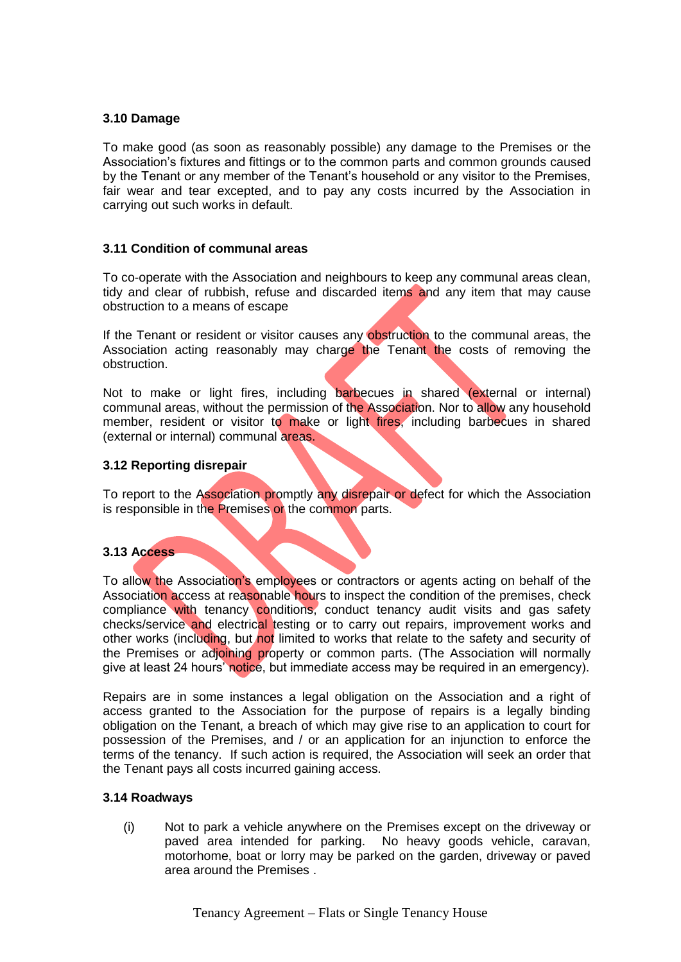## **3.10 Damage**

To make good (as soon as reasonably possible) any damage to the Premises or the Association's fixtures and fittings or to the common parts and common grounds caused by the Tenant or any member of the Tenant's household or any visitor to the Premises, fair wear and tear excepted, and to pay any costs incurred by the Association in carrying out such works in default.

## **3.11 Condition of communal areas**

To co-operate with the Association and neighbours to keep any communal areas clean, tidy and clear of rubbish, refuse and discarded items and any item that may cause obstruction to a means of escape

If the Tenant or resident or visitor causes any obstruction to the communal areas, the Association acting reasonably may charge the Tenant the costs of removing the obstruction.

Not to make or light fires, including barbecues in shared (external or internal) communal areas, without the permission of the Association. Nor to allow any household member, resident or visitor to make or light fires, including barbecues in shared (external or internal) communal areas.

## **3.12 Reporting disrepair**

To report to the Association promptly any disrepair or defect for which the Association is responsible in the Premises or the common parts.

## **3.13 Access**

To allow the Association's employees or contractors or agents acting on behalf of the Association access at reasonable hours to inspect the condition of the premises, check compliance with tenancy conditions, conduct tenancy audit visits and gas safety checks/service and electrical testing or to carry out repairs, improvement works and other works (including, but not limited to works that relate to the safety and security of the Premises or adjoining property or common parts. (The Association will normally give at least 24 hours' notice, but immediate access may be required in an emergency).

Repairs are in some instances a legal obligation on the Association and a right of access granted to the Association for the purpose of repairs is a legally binding obligation on the Tenant, a breach of which may give rise to an application to court for possession of the Premises, and / or an application for an injunction to enforce the terms of the tenancy. If such action is required, the Association will seek an order that the Tenant pays all costs incurred gaining access.

## **3.14 Roadways**

(i) Not to park a vehicle anywhere on the Premises except on the driveway or paved area intended for parking. No heavy goods vehicle, caravan, motorhome, boat or lorry may be parked on the garden, driveway or paved area around the Premises .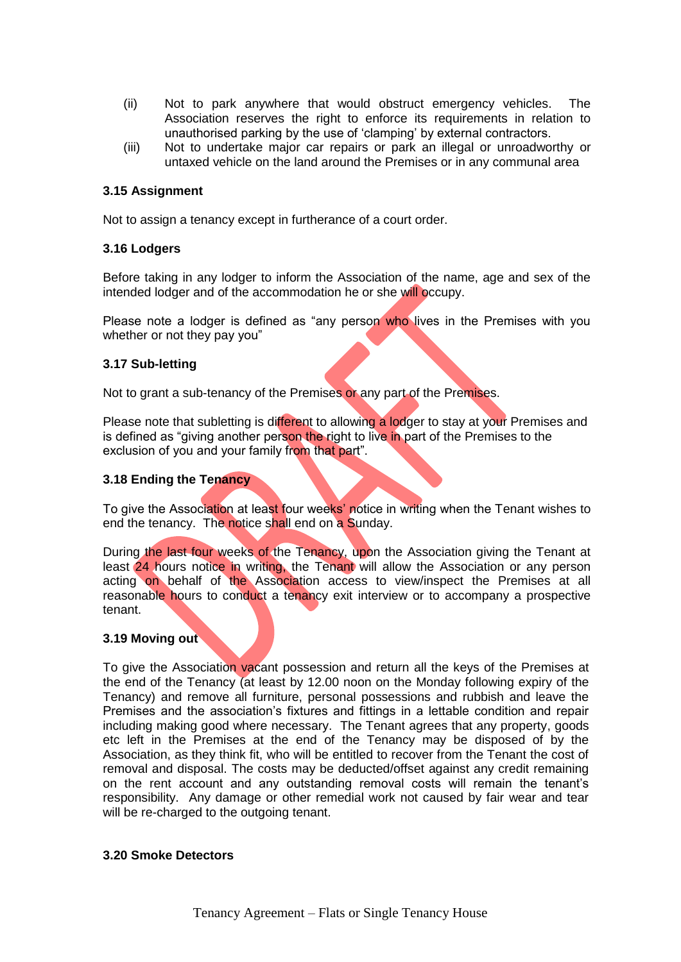- (ii) Not to park anywhere that would obstruct emergency vehicles. The Association reserves the right to enforce its requirements in relation to unauthorised parking by the use of 'clamping' by external contractors.
- (iii) Not to undertake major car repairs or park an illegal or unroadworthy or untaxed vehicle on the land around the Premises or in any communal area

# **3.15 Assignment**

Not to assign a tenancy except in furtherance of a court order.

## **3.16 Lodgers**

Before taking in any lodger to inform the Association of the name, age and sex of the intended lodger and of the accommodation he or she will occupy.

Please note a lodger is defined as "any person who lives in the Premises with you whether or not they pay you"

## **3.17 Sub-letting**

Not to grant a sub-tenancy of the Premises or any part of the Premises.

Please note that subletting is different to allowing a lodger to stay at your Premises and is defined as "giving another person the right to live in part of the Premises to the exclusion of you and your family from that part".

## **3.18 Ending the Tenancy**

To give the Association at least four weeks' notice in writing when the Tenant wishes to end the tenancy. The notice shall end on a Sunday.

During the last four weeks of the Tenancy, upon the Association giving the Tenant at least 24 hours notice in writing, the Tenant will allow the Association or any person acting on behalf of the Association access to view/inspect the Premises at all reasonable hours to conduct a tenancy exit interview or to accompany a prospective tenant.

## **3.19 Moving out**

To give the Association vacant possession and return all the keys of the Premises at the end of the Tenancy (at least by 12.00 noon on the Monday following expiry of the Tenancy) and remove all furniture, personal possessions and rubbish and leave the Premises and the association's fixtures and fittings in a lettable condition and repair including making good where necessary. The Tenant agrees that any property, goods etc left in the Premises at the end of the Tenancy may be disposed of by the Association, as they think fit, who will be entitled to recover from the Tenant the cost of removal and disposal. The costs may be deducted/offset against any credit remaining on the rent account and any outstanding removal costs will remain the tenant's responsibility. Any damage or other remedial work not caused by fair wear and tear will be re-charged to the outgoing tenant.

## **3.20 Smoke Detectors**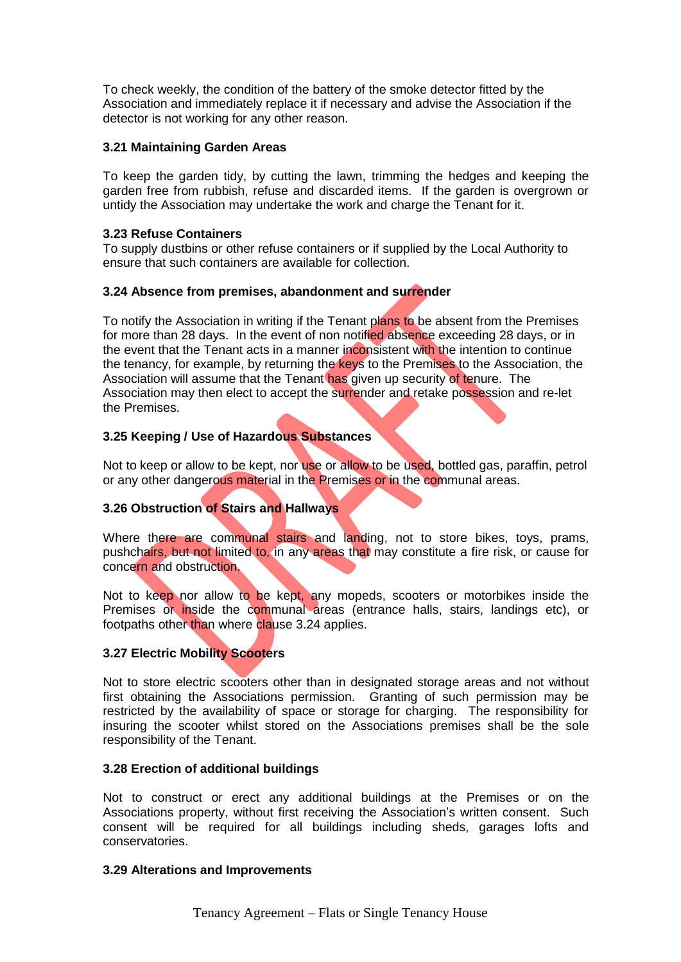To check weekly, the condition of the battery of the smoke detector fitted by the Association and immediately replace it if necessary and advise the Association if the detector is not working for any other reason.

# **3.21 Maintaining Garden Areas**

To keep the garden tidy, by cutting the lawn, trimming the hedges and keeping the garden free from rubbish, refuse and discarded items. If the garden is overgrown or untidy the Association may undertake the work and charge the Tenant for it.

## **3.23 Refuse Containers**

To supply dustbins or other refuse containers or if supplied by the Local Authority to ensure that such containers are available for collection.

## **3.24 Absence from premises, abandonment and surrender**

To notify the Association in writing if the Tenant plans to be absent from the Premises for more than 28 days. In the event of non notified absence exceeding 28 days, or in the event that the Tenant acts in a manner inconsistent with the intention to continue the tenancy, for example, by returning the keys to the Premises to the Association, the Association will assume that the Tenant has given up security of tenure. The Association may then elect to accept the surrender and retake possession and re-let the Premises.

# **3.25 Keeping / Use of Hazardous Substances**

Not to keep or allow to be kept, nor use or allow to be used, bottled gas, paraffin, petrol or any other dangerous material in the Premises or in the communal areas.

# **3.26 Obstruction of Stairs and Hallways**

Where there are communal stairs and landing, not to store bikes, toys, prams, pushchairs, but not limited to, in any areas that may constitute a fire risk, or cause for concern and obstruction.

Not to keep nor allow to be kept, any mopeds, scooters or motorbikes inside the Premises or inside the communal areas (entrance halls, stairs, landings etc), or footpaths other than where clause 3.24 applies.

# **3.27 Electric Mobility Scooters**

Not to store electric scooters other than in designated storage areas and not without first obtaining the Associations permission. Granting of such permission may be restricted by the availability of space or storage for charging. The responsibility for insuring the scooter whilst stored on the Associations premises shall be the sole responsibility of the Tenant.

## **3.28 Erection of additional buildings**

Not to construct or erect any additional buildings at the Premises or on the Associations property, without first receiving the Association's written consent. Such consent will be required for all buildings including sheds, garages lofts and conservatories.

## **3.29 Alterations and Improvements**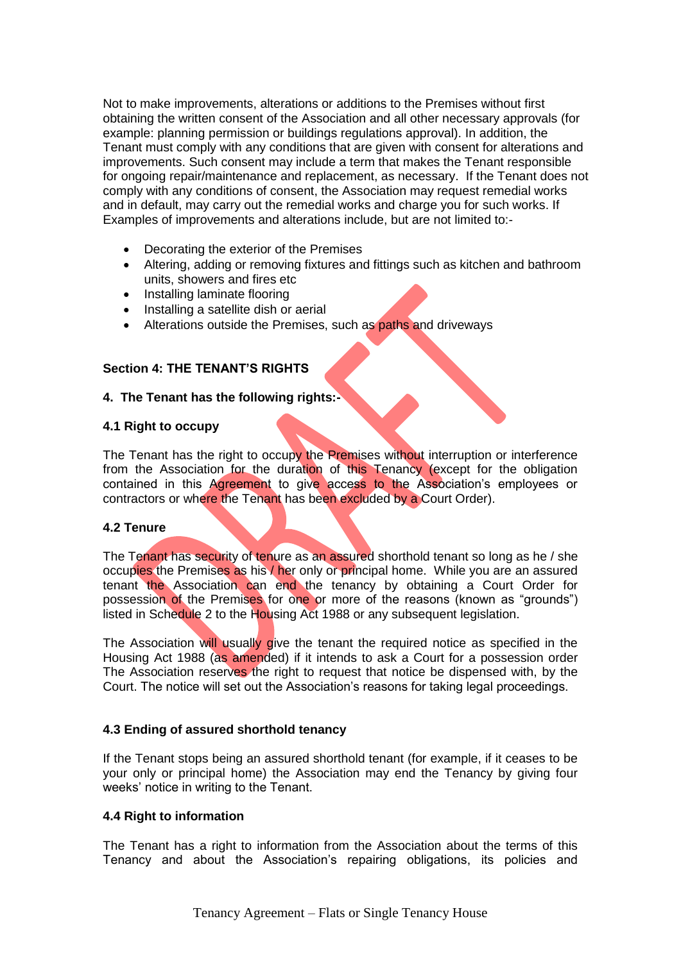Not to make improvements, alterations or additions to the Premises without first obtaining the written consent of the Association and all other necessary approvals (for example: planning permission or buildings regulations approval). In addition, the Tenant must comply with any conditions that are given with consent for alterations and improvements. Such consent may include a term that makes the Tenant responsible for ongoing repair/maintenance and replacement, as necessary. If the Tenant does not comply with any conditions of consent, the Association may request remedial works and in default, may carry out the remedial works and charge you for such works. If Examples of improvements and alterations include, but are not limited to:-

- Decorating the exterior of the Premises
- Altering, adding or removing fixtures and fittings such as kitchen and bathroom units, showers and fires etc
- Installing laminate flooring
- Installing a satellite dish or aerial
- Alterations outside the Premises, such as paths and driveways

## **Section 4: THE TENANT'S RIGHTS**

## **4. The Tenant has the following rights:-**

## **4.1 Right to occupy**

The Tenant has the right to occupy the Premises without interruption or interference from the Association for the duration of this Tenancy (except for the obligation contained in this Agreement to give access to the Association's employees or contractors or where the Tenant has been excluded by a Court Order).

## **4.2 Tenure**

The Tenant has security of tenure as an assured shorthold tenant so long as he / she occupies the Premises as his / her only or principal home. While you are an assured tenant the Association can end the tenancy by obtaining a Court Order for possession of the Premises for one or more of the reasons (known as "grounds") listed in Schedule 2 to the Housing Act 1988 or any subsequent legislation.

The Association will usually give the tenant the required notice as specified in the Housing Act 1988 (as amended) if it intends to ask a Court for a possession order The Association reserves the right to request that notice be dispensed with, by the Court. The notice will set out the Association's reasons for taking legal proceedings.

## **4.3 Ending of assured shorthold tenancy**

If the Tenant stops being an assured shorthold tenant (for example, if it ceases to be your only or principal home) the Association may end the Tenancy by giving four weeks' notice in writing to the Tenant.

## **4.4 Right to information**

The Tenant has a right to information from the Association about the terms of this Tenancy and about the Association's repairing obligations, its policies and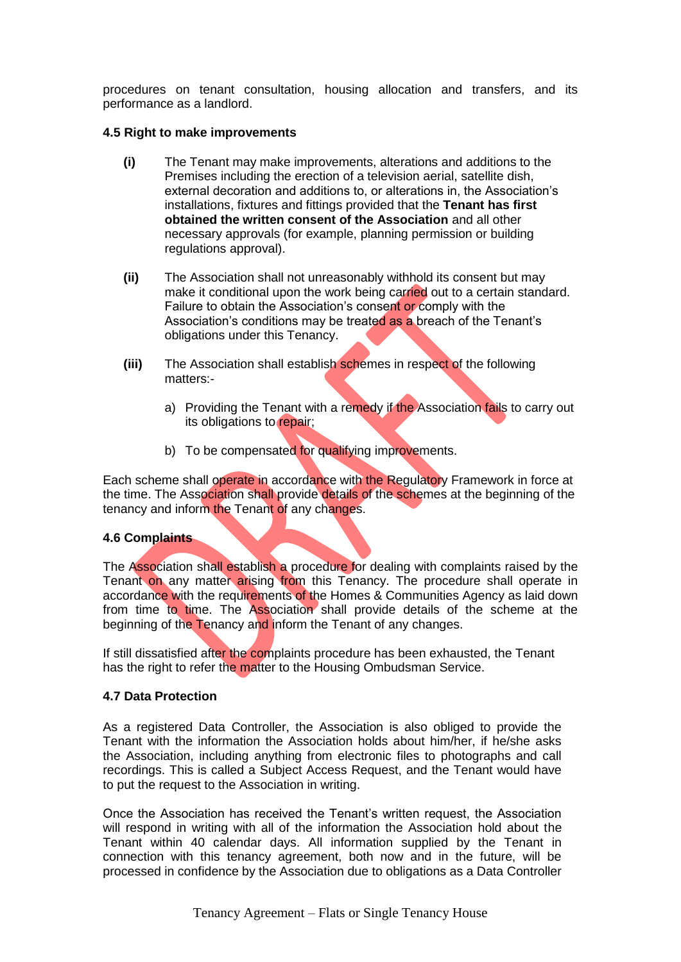procedures on tenant consultation, housing allocation and transfers, and its performance as a landlord.

## **4.5 Right to make improvements**

- **(i)** The Tenant may make improvements, alterations and additions to the Premises including the erection of a television aerial, satellite dish, external decoration and additions to, or alterations in, the Association's installations, fixtures and fittings provided that the **Tenant has first obtained the written consent of the Association** and all other necessary approvals (for example, planning permission or building regulations approval).
- **(ii)** The Association shall not unreasonably withhold its consent but may make it conditional upon the work being carried out to a certain standard. Failure to obtain the Association's consent or comply with the Association's conditions may be treated as a breach of the Tenant's obligations under this Tenancy.
- **(iii)** The Association shall establish schemes in respect of the following matters:
	- a) Providing the Tenant with a remedy if the Association fails to carry out its obligations to repair;
	- b) To be compensated for qualifying improvements.

Each scheme shall operate in accordance with the Regulatory Framework in force at the time. The Association shall provide details of the schemes at the beginning of the tenancy and inform the Tenant of any changes.

# **4.6 Complaints**

The Association shall establish a procedure for dealing with complaints raised by the Tenant on any matter arising from this Tenancy. The procedure shall operate in accordance with the requirements of the Homes & Communities Agency as laid down from time to time. The Association shall provide details of the scheme at the beginning of the Tenancy and inform the Tenant of any changes.

If still dissatisfied after the complaints procedure has been exhausted, the Tenant has the right to refer the matter to the Housing Ombudsman Service.

## **4.7 Data Protection**

As a registered Data Controller, the Association is also obliged to provide the Tenant with the information the Association holds about him/her, if he/she asks the Association, including anything from electronic files to photographs and call recordings. This is called a Subject Access Request, and the Tenant would have to put the request to the Association in writing.

Once the Association has received the Tenant's written request, the Association will respond in writing with all of the information the Association hold about the Tenant within 40 calendar days. All information supplied by the Tenant in connection with this tenancy agreement, both now and in the future, will be processed in confidence by the Association due to obligations as a Data Controller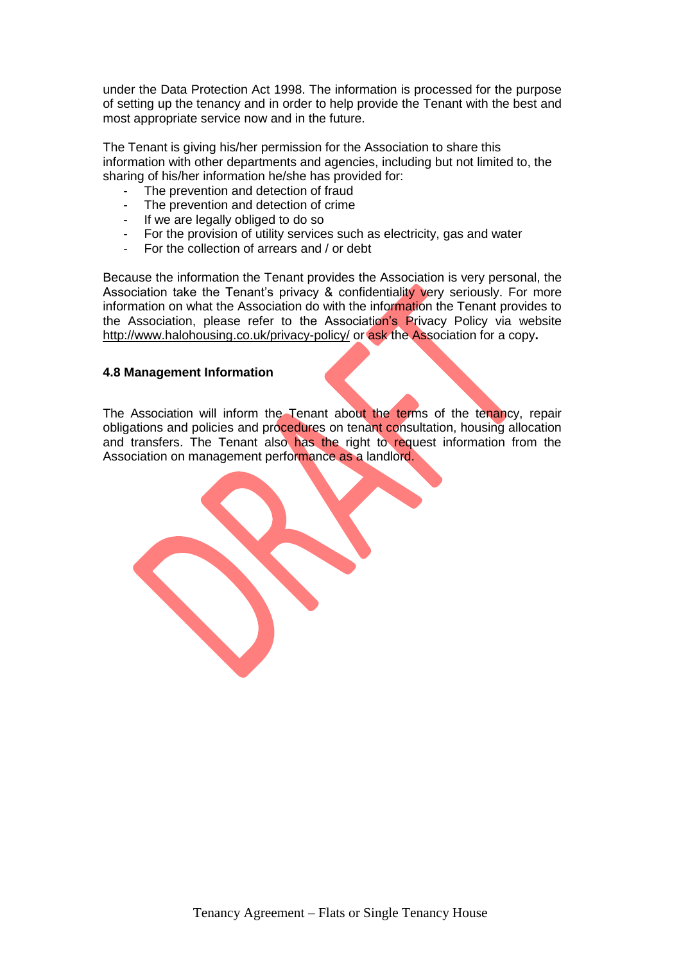under the Data Protection Act 1998. The information is processed for the purpose of setting up the tenancy and in order to help provide the Tenant with the best and most appropriate service now and in the future.

The Tenant is giving his/her permission for the Association to share this information with other departments and agencies, including but not limited to, the sharing of his/her information he/she has provided for:

- The prevention and detection of fraud
- The prevention and detection of crime
- If we are legally obliged to do so
- For the provision of utility services such as electricity, gas and water
- For the collection of arrears and / or debt

Because the information the Tenant provides the Association is very personal, the Association take the Tenant's privacy & confidentiality very seriously. For more information on what the Association do with the information the Tenant provides to the Association, please refer to the Association's Privacy Policy via website <http://www.halohousing.co.uk/privacy-policy/> or ask the Association for a copy**.**

## **4.8 Management Information**

The Association will inform the Tenant about the terms of the tenancy, repair obligations and policies and procedures on tenant consultation, housing allocation and transfers. The Tenant also has the right to request information from the Association on management performance as a landlord.